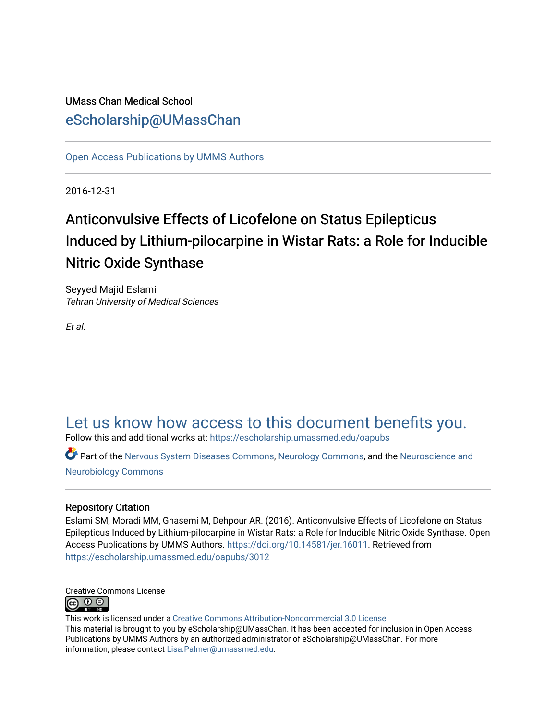# UMass Chan Medical School [eScholarship@UMassChan](https://escholarship.umassmed.edu/)

[Open Access Publications by UMMS Authors](https://escholarship.umassmed.edu/oapubs)

2016-12-31

# Anticonvulsive Effects of Licofelone on Status Epilepticus Induced by Lithium-pilocarpine in Wistar Rats: a Role for Inducible Nitric Oxide Synthase

Seyyed Majid Eslami Tehran University of Medical Sciences

Et al.

# [Let us know how access to this document benefits you.](https://arcsapps.umassmed.edu/redcap/surveys/?s=XWRHNF9EJE)

Follow this and additional works at: [https://escholarship.umassmed.edu/oapubs](https://escholarship.umassmed.edu/oapubs?utm_source=escholarship.umassmed.edu%2Foapubs%2F3012&utm_medium=PDF&utm_campaign=PDFCoverPages) 

Part of the [Nervous System Diseases Commons](http://network.bepress.com/hgg/discipline/928?utm_source=escholarship.umassmed.edu%2Foapubs%2F3012&utm_medium=PDF&utm_campaign=PDFCoverPages), [Neurology Commons,](http://network.bepress.com/hgg/discipline/692?utm_source=escholarship.umassmed.edu%2Foapubs%2F3012&utm_medium=PDF&utm_campaign=PDFCoverPages) and the [Neuroscience and](http://network.bepress.com/hgg/discipline/55?utm_source=escholarship.umassmed.edu%2Foapubs%2F3012&utm_medium=PDF&utm_campaign=PDFCoverPages) [Neurobiology Commons](http://network.bepress.com/hgg/discipline/55?utm_source=escholarship.umassmed.edu%2Foapubs%2F3012&utm_medium=PDF&utm_campaign=PDFCoverPages) 

### Repository Citation

Eslami SM, Moradi MM, Ghasemi M, Dehpour AR. (2016). Anticonvulsive Effects of Licofelone on Status Epilepticus Induced by Lithium-pilocarpine in Wistar Rats: a Role for Inducible Nitric Oxide Synthase. Open Access Publications by UMMS Authors. [https://doi.org/10.14581/jer.16011.](https://doi.org/10.14581/jer.16011) Retrieved from [https://escholarship.umassmed.edu/oapubs/3012](https://escholarship.umassmed.edu/oapubs/3012?utm_source=escholarship.umassmed.edu%2Foapubs%2F3012&utm_medium=PDF&utm_campaign=PDFCoverPages)



This work is licensed under a [Creative Commons Attribution-Noncommercial 3.0 License](http://creativecommons.org/licenses/by-nc/3.0/)  This material is brought to you by eScholarship@UMassChan. It has been accepted for inclusion in Open Access Publications by UMMS Authors by an authorized administrator of eScholarship@UMassChan. For more information, please contact [Lisa.Palmer@umassmed.edu.](mailto:Lisa.Palmer@umassmed.edu)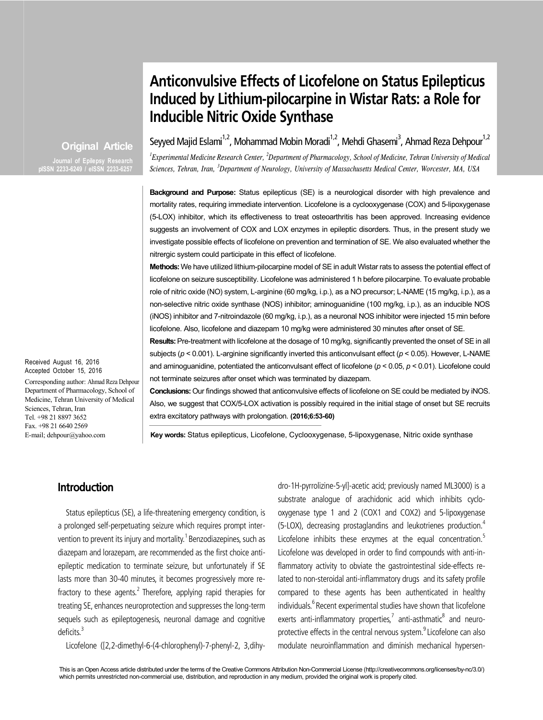# **Anticonvulsive Effects of Licofelone on Status Epilepticus Induced by Lithium-pilocarpine in Wistar Rats: a Role for Inducible Nitric Oxide Synthase**

**Original Article**

**pISSN 2233-6249 / eISSN 2233-6257**

Seyyed Majid Eslami<sup>1,2</sup>, Mohammad Mobin Moradi<sup>1,2</sup>, Mehdi Ghasemi<sup>3</sup>, Ahmad Reza Dehpour<sup>1,2</sup>

<sup>*I*</sup> Experimental Medicine Research Center, <sup>2</sup>Department of Pharmacology, School of Medicine, Tehran University of Medical *Sciences, Tehran, Iran, <sup>3</sup> Department of Neurology, University of Massachusetts Medical Center, Worcester, MA, USA*

**Background and Purpose:** Status epilepticus (SE) is a neurological disorder with high prevalence and mortality rates, requiring immediate intervention. Licofelone is a cyclooxygenase (COX) and 5-lipoxygenase (5-LOX) inhibitor, which its effectiveness to treat osteoarthritis has been approved. Increasing evidence suggests an involvement of COX and LOX enzymes in epileptic disorders. Thus, in the present study we investigate possible effects of licofelone on prevention and termination of SE. We also evaluated whether the nitrergic system could participate in this effect of licofelone.

**Methods:** We have utilized lithium-pilocarpine model of SE in adult Wistar rats to assess the potential effect of licofelone on seizure susceptibility. Licofelone was administered 1 h before pilocarpine. To evaluate probable role of nitric oxide (NO) system, L-arginine (60 mg/kg, i.p.), as a NO precursor; L-NAME (15 mg/kg, i.p.), as a non-selective nitric oxide synthase (NOS) inhibitor; aminoguanidine (100 mg/kg, i.p.), as an inducible NOS (iNOS) inhibitor and 7-nitroindazole (60 mg/kg, i.p.), as a neuronal NOS inhibitor were injected 15 min before licofelone. Also, licofelone and diazepam 10 mg/kg were administered 30 minutes after onset of SE.

**Results:** Pre-treatment with licofelone at the dosage of 10 mg/kg, significantly prevented the onset of SE in all subjects (*p* < 0.001). L-arginine significantly inverted this anticonvulsant effect (*p* < 0.05). However, L-NAME and aminoguanidine, potentiated the anticonvulsant effect of licofelone (*p* < 0.05, *p* < 0.01). Licofelone could not terminate seizures after onset which was terminated by diazepam.

**Conclusions:** Our findings showed that anticonvulsive effects of licofelone on SE could be mediated by iNOS. Also, we suggest that COX/5-LOX activation is possibly required in the initial stage of onset but SE recruits extra excitatory pathways with prolongation. **(2016;6:53-60)**

**Key words:** Status epilepticus, Licofelone, Cyclooxygenase, 5-lipoxygenase, Nitric oxide synthase

# **Introduction**

Status epilepticus (SE), a life-threatening emergency condition, is a prolonged self-perpetuating seizure which requires prompt intervention to prevent its injury and mortality.<sup>1</sup> Benzodiazepines, such as diazepam and lorazepam, are recommended as the first choice antiepileptic medication to terminate seizure, but unfortunately if SE lasts more than 30-40 minutes, it becomes progressively more refractory to these agents.<sup>2</sup> Therefore, applying rapid therapies for treating SE, enhances neuroprotection and suppresses the long-term sequels such as epileptogenesis, neuronal damage and cognitive deficits.<sup>3</sup>

Licofelone ([2,2-dimethyl-6-(4-chlorophenyl)-7-phenyl-2, 3,dihy-

dro-1H-pyrrolizine-5-yl]-acetic acid; previously named ML3000) is a substrate analogue of arachidonic acid which inhibits cyclooxygenase type 1 and 2 (COX1 and COX2) and 5-lipoxygenase (5-LOX), decreasing prostaglandins and leukotrienes production.<sup>4</sup> Licofelone inhibits these enzymes at the equal concentration.<sup>5</sup> Licofelone was developed in order to find compounds with anti-inflammatory activity to obviate the gastrointestinal side-effects related to non-steroidal anti-inflammatory drugs and its safety profile compared to these agents has been authenticated in healthy individuals.<sup>6</sup> Recent experimental studies have shown that licofelone exerts anti-inflammatory properties,<sup>7</sup> anti-asthmatic<sup>8</sup> and neuroprotective effects in the central nervous system.<sup>9</sup> Licofelone can also modulate neuroinflammation and diminish mechanical hypersen-

Received August 16, 2016 Accepted October 15, 2016

Corresponding author: Ahmad Reza Dehpour Department of Pharmacology, School of Medicine, Tehran University of Medical Sciences, Tehran, Iran Tel. +98 21 8897 3652 Fax. +98 21 6640 2569 E-mail; dehpour@yahoo.com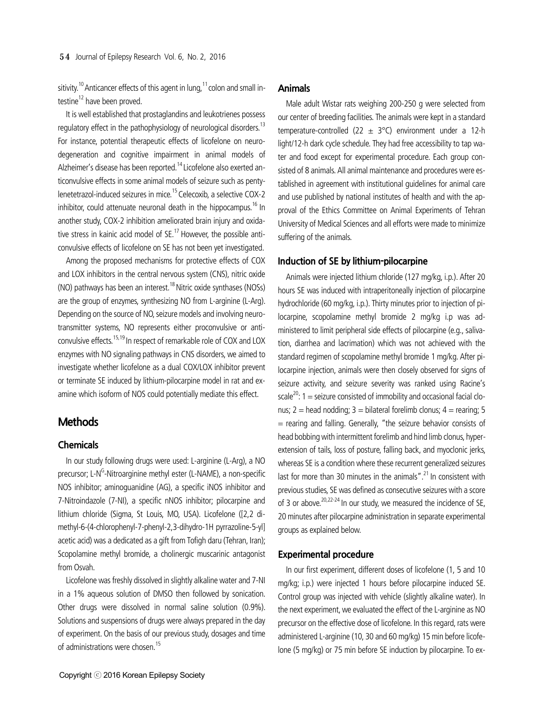sitivity.<sup>10</sup> Anticancer effects of this agent in lung,  $11$  colon and small intestine<sup>12</sup> have been proved.

It is well established that prostaglandins and leukotrienes possess regulatory effect in the pathophysiology of neurological disorders.<sup>13</sup> For instance, potential therapeutic effects of licofelone on neurodegeneration and cognitive impairment in animal models of Alzheimer's disease has been reported.<sup>14</sup> Licofelone also exerted anticonvulsive effects in some animal models of seizure such as pentylenetetrazol-induced seizures in mice.<sup>15</sup> Celecoxib, a selective COX-2 inhibitor, could attenuate neuronal death in the hippocampus.<sup>16</sup> In another study, COX-2 inhibition ameliorated brain injury and oxidative stress in kainic acid model of  $SE$ .<sup>17</sup> However, the possible anticonvulsive effects of licofelone on SE has not been yet investigated.

Among the proposed mechanisms for protective effects of COX and LOX inhibitors in the central nervous system (CNS), nitric oxide (NO) pathways has been an interest.<sup>18</sup> Nitric oxide synthases (NOSs) are the group of enzymes, synthesizing NO from L-arginine (L-Arg). Depending on the source of NO, seizure models and involving neurotransmitter systems, NO represents either proconvulsive or anticonvulsive effects.<sup>15,19</sup> In respect of remarkable role of COX and LOX enzymes with NO signaling pathways in CNS disorders, we aimed to investigate whether licofelone as a dual COX/LOX inhibitor prevent or terminate SE induced by lithium-pilocarpine model in rat and examine which isoform of NOS could potentially mediate this effect.

# **Methods**

#### **Chemicals**

In our study following drugs were used: L-arginine (L-Arg), a NO precursor; L-N<sup>G</sup>-Nitroarginine methyl ester (L-NAME), a non-specific NOS inhibitor; aminoguanidine (AG), a specific iNOS inhibitor and 7-Nitroindazole (7-NI), a specific nNOS inhibitor; pilocarpine and lithium chloride (Sigma, St Louis, MO, USA). Licofelone ([2,2 dimethyl-6-(4-chlorophenyl-7-phenyl-2,3-dihydro-1H pyrrazoline-5-yl] acetic acid) was a dedicated as a gift from Tofigh daru (Tehran, Iran); Scopolamine methyl bromide, a cholinergic muscarinic antagonist from Osvah.

Licofelone was freshly dissolved in slightly alkaline water and 7-NI in a 1% aqueous solution of DMSO then followed by sonication. Other drugs were dissolved in normal saline solution (0.9%). Solutions and suspensions of drugs were always prepared in the day of experiment. On the basis of our previous study, dosages and time of administrations were chosen.<sup>15</sup>

Male adult Wistar rats weighing 200-250 g were selected from our center of breeding facilities. The animals were kept in a standard temperature-controlled (22  $\pm$  3°C) environment under a 12-h light/12-h dark cycle schedule. They had free accessibility to tap water and food except for experimental procedure. Each group consisted of 8 animals. All animal maintenance and procedures were established in agreement with institutional guidelines for animal care and use published by national institutes of health and with the approval of the Ethics Committee on Animal Experiments of Tehran University of Medical Sciences and all efforts were made to minimize suffering of the animals.

#### **Induction of SE by lithium-pilocarpine**

Animals were injected lithium chloride (127 mg/kg, i.p.). After 20 hours SE was induced with intraperitoneally injection of pilocarpine hydrochloride (60 mg/kg, i.p.). Thirty minutes prior to injection of pilocarpine, scopolamine methyl bromide 2 mg/kg i.p was administered to limit peripheral side effects of pilocarpine (e.g., salivation, diarrhea and lacrimation) which was not achieved with the standard regimen of scopolamine methyl bromide 1 mg/kg. After pilocarpine injection, animals were then closely observed for signs of seizure activity, and seizure severity was ranked using Racine's scale<sup>20</sup>: 1 = seizure consisted of immobility and occasional facial clonus; 2 = head nodding; 3 = bilateral forelimb clonus; 4 = rearing; 5  $=$  rearing and falling. Generally, "the seizure behavior consists of head bobbing with intermittent forelimb and hind limb clonus, hyperextension of tails, loss of posture, falling back, and myoclonic jerks, whereas SE is a condition where these recurrent generalized seizures last for more than 30 minutes in the animals".<sup>21</sup> In consistent with previous studies, SE was defined as consecutive seizures with a score of 3 or above.<sup>20,22-24</sup> In our study, we measured the incidence of SE, 20 minutes after pilocarpine administration in separate experimental groups as explained below.

#### **Experimental procedure**

In our first experiment, different doses of licofelone (1, 5 and 10 mg/kg; i.p.) were injected 1 hours before pilocarpine induced SE. Control group was injected with vehicle (slightly alkaline water). In the next experiment, we evaluated the effect of the L-arginine as NO precursor on the effective dose of licofelone. In this regard, rats were administered L-arginine (10, 30 and 60 mg/kg) 15 min before licofelone (5 mg/kg) or 75 min before SE induction by pilocarpine. To ex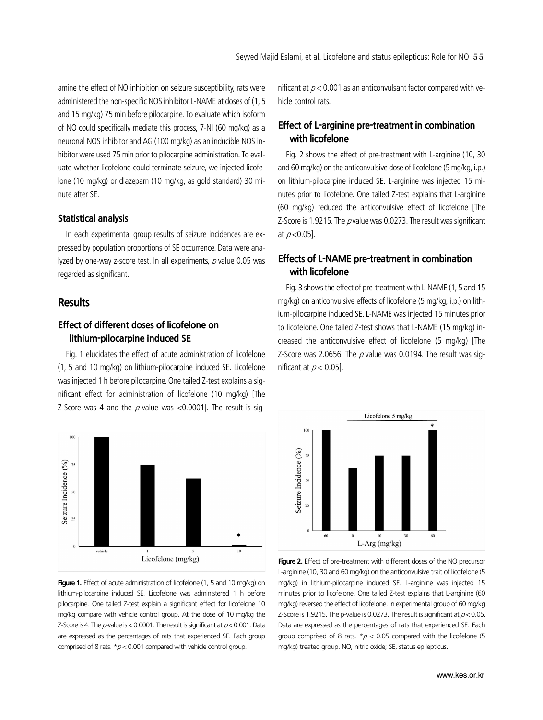amine the effect of NO inhibition on seizure susceptibility, rats were administered the non-specific NOS inhibitor L-NAME at doses of (1, 5 and 15 mg/kg) 75 min before pilocarpine. To evaluate which isoform of NO could specifically mediate this process, 7-NI (60 mg/kg) as a neuronal NOS inhibitor and AG (100 mg/kg) as an inducible NOS inhibitor were used 75 min prior to pilocarpine administration. To evaluate whether licofelone could terminate seizure, we injected licofelone (10 mg/kg) or diazepam (10 mg/kg, as gold standard) 30 minute after SE.

#### **Statistical analysis**

In each experimental group results of seizure incidences are expressed by population proportions of SE occurrence. Data were analyzed by one-way z-score test. In all experiments,  $\rho$  value 0.05 was regarded as significant.

#### **Results**

# **Effect of different doses of licofelone on lithium-pilocarpine induced SE**

Fig. 1 elucidates the effect of acute administration of licofelone (1, 5 and 10 mg/kg) on lithium-pilocarpine induced SE. Licofelone was injected 1 h before pilocarpine. One tailed Z-test explains a significant effect for administration of licofelone (10 mg/kg) [The Z-Score was 4 and the  $p$  value was <0.0001]. The result is sig-



**Figure 1.** Effect of acute administration of licofelone (1, 5 and 10 mg/kg) on lithium-pilocarpine induced SE. Licofelone was administered 1 h before pilocarpine. One tailed Z-test explain a significant effect for licofelone 10 mg/kg compare with vehicle control group. At the dose of 10 mg/kg the Z-Score is 4. The  $p$ -value is < 0.0001. The result is significant at  $p$  < 0.001. Data are expressed as the percentages of rats that experienced SE. Each group comprised of 8 rats.  $p < 0.001$  compared with vehicle control group.

nificant at  $p < 0.001$  as an anticonvulsant factor compared with vehicle control rats.

# **Effect of L-arginine pre-treatment in combination with licofelone**

Fig. 2 shows the effect of pre-treatment with L-arginine (10, 30 and 60 mg/kg) on the anticonvulsive dose of licofelone (5 mg/kg, i.p.) on lithium-pilocarpine induced SE. L-arginine was injected 15 minutes prior to licofelone. One tailed Z-test explains that L-arginine (60 mg/kg) reduced the anticonvulsive effect of licofelone [The Z-Score is 1.9215. The  $p$  value was 0.0273. The result was significant at  $p < 0.05$ ].

# **Effects of L-NAME pre-treatment in combination with licofelone**

Fig. 3 shows the effect of pre-treatment with L-NAME (1, 5 and 15 mg/kg) on anticonvulsive effects of licofelone (5 mg/kg, i.p.) on lithium-pilocarpine induced SE. L-NAME was injected 15 minutes prior to licofelone. One tailed Z-test shows that L-NAME (15 mg/kg) increased the anticonvulsive effect of licofelone (5 mg/kg) [The Z-Score was 2.0656. The  $p$  value was 0.0194. The result was significant at  $p < 0.05$ ].



**Figure 2.** Effect of pre-treatment with different doses of the NO precursor L-arginine (10, 30 and 60 mg/kg) on the anticonvulsive trait of licofelone (5 mg/kg) in lithium-pilocarpine induced SE. L-arginine was injected 15 minutes prior to licofelone. One tailed Z-test explains that L-arginine (60 mg/kg) reversed the effect of licofelone. In experimental group of 60 mg/kg Z-Score is 1.9215. The p-value is 0.0273. The result is significant at  $p < 0.05$ . Data are expressed as the percentages of rats that experienced SE. Each group comprised of 8 rats.  $p < 0.05$  compared with the licofelone (5 mg/kg) treated group. NO, nitric oxide; SE, status epilepticus.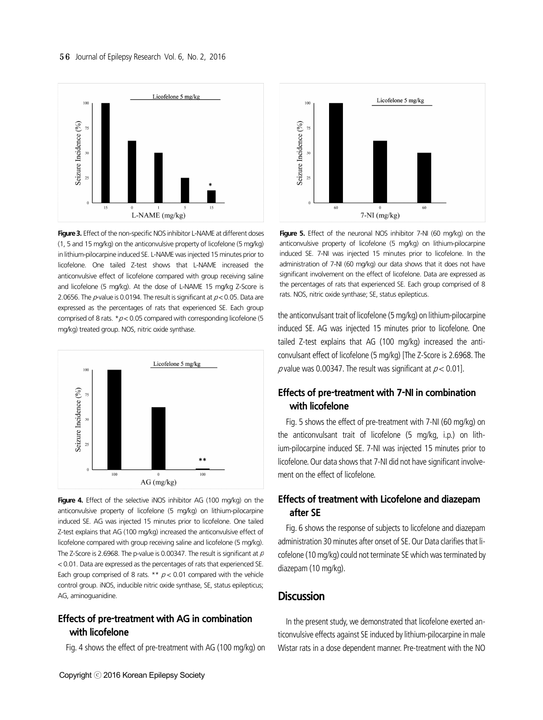

**Figure 3.** Effect of the non-specific NOS inhibitor L-NAME at different doses (1, 5 and 15 mg/kg) on the anticonvulsive property of licofelone (5 mg/kg) in lithium-pilocarpine induced SE. L-NAME was injected 15 minutes prior to licofelone. One tailed Z-test shows that L-NAME increased the anticonvulsive effect of licofelone compared with group receiving saline and licofelone (5 mg/kg). At the dose of L-NAME 15 mg/kg Z-Score is 2.0656. The  $p$ -value is 0.0194. The result is significant at  $p < 0.05$ . Data are expressed as the percentages of rats that experienced SE. Each group comprised of 8 rats.  $*\rho$  < 0.05 compared with corresponding licofelone (5 mg/kg) treated group. NOS, nitric oxide synthase.



Figure 4. Effect of the selective iNOS inhibitor AG (100 mg/kg) on the anticonvulsive property of licofelone (5 mg/kg) on lithium-pilocarpine induced SE. AG was injected 15 minutes prior to licofelone. One tailed Z-test explains that AG (100 mg/kg) increased the anticonvulsive effect of licofelone compared with group receiving saline and licofelone (5 mg/kg). The Z-Score is 2.6968. The p-value is 0.00347. The result is significant at  $\rho$ < 0.01. Data are expressed as the percentages of rats that experienced SE. Each group comprised of 8 rats. \*\*  $p < 0.01$  compared with the vehicle control group. iNOS, inducible nitric oxide synthase, SE, status epilepticus; AG, aminoguanidine.

### **Effects of pre-treatment with AG in combination with licofelone**

Fig. 4 shows the effect of pre-treatment with AG (100 mg/kg) on



**Figure 5.** Effect of the neuronal NOS inhibitor 7-NI (60 mg/kg) on the anticonvulsive property of licofelone (5 mg/kg) on lithium-pilocarpine induced SE. 7-NI was injected 15 minutes prior to licofelone. In the administration of 7-NI (60 mg/kg) our data shows that it does not have significant involvement on the effect of licofelone. Data are expressed as the percentages of rats that experienced SE. Each group comprised of 8 rats. NOS, nitric oxide synthase; SE, status epilepticus.

the anticonvulsant trait of licofelone (5 mg/kg) on lithium-pilocarpine induced SE. AG was injected 15 minutes prior to licofelone. One tailed Z-test explains that AG (100 mg/kg) increased the anticonvulsant effect of licofelone (5 mg/kg) [The Z-Score is 2.6968. The p value was 0.00347. The result was significant at  $p < 0.01$ ].

# **Effects of pre-treatment with 7-NI in combination with licofelone**

Fig. 5 shows the effect of pre-treatment with 7-NI (60 mg/kg) on the anticonvulsant trait of licofelone (5 mg/kg, i.p.) on lithium-pilocarpine induced SE. 7-NI was injected 15 minutes prior to licofelone. Our data shows that 7-NI did not have significant involvement on the effect of licofelone.

## **Effects of treatment with Licofelone and diazepam after SE**

Fig. 6 shows the response of subjects to licofelone and diazepam administration 30 minutes after onset of SE. Our Data clarifies that licofelone (10 mg/kg) could not terminate SE which was terminated by diazepam (10 mg/kg).

#### **Discussion**

In the present study, we demonstrated that licofelone exerted anticonvulsive effects against SE induced by lithium-pilocarpine in male Wistar rats in a dose dependent manner. Pre-treatment with the NO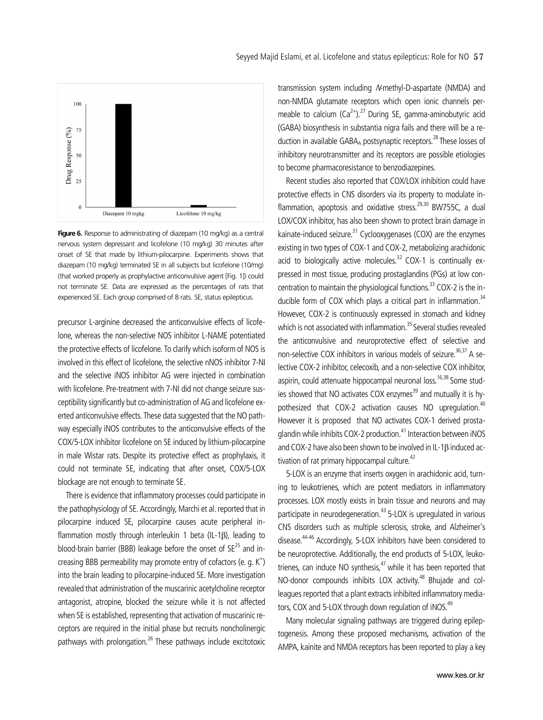

**Figure 6.** Response to administrating of diazepam (10 mg/kg) as a central nervous system depressant and licofelone (10 mg/kg) 30 minutes after onset of SE that made by lithium-pilocarpine. Experiments shows that diazepam (10 mg/kg) terminated SE in all subjects but licofelone (10/mg) (that worked properly as prophylactive anticonvulsive agent [Fig. 1]) could not terminate SE. Data are expressed as the percentages of rats that experienced SE. Each group comprised of 8 rats. SE, status epilepticus.

precursor L-arginine decreased the anticonvulsive effects of licofelone, whereas the non-selective NOS inhibitor L-NAME potentiated the protective effects of licofelone. To clarify which isoform of NOS is involved in this effect of licofelone, the selective nNOS inhibitor 7-NI and the selective iNOS inhibitor AG were injected in combination with licofelone. Pre-treatment with 7-NI did not change seizure susceptibility significantly but co-administration of AG and licofelone exerted anticonvulsive effects. These data suggested that the NO pathway especially iNOS contributes to the anticonvulsive effects of the COX/5-LOX inhibitor licofelone on SE induced by lithium-pilocarpine in male Wistar rats. Despite its protective effect as prophylaxis, it could not terminate SE, indicating that after onset, COX/5-LOX blockage are not enough to terminate SE.

There is evidence that inflammatory processes could participate in the pathophysiology of SE. Accordingly, Marchi et al. reported that in pilocarpine induced SE, pilocarpine causes acute peripheral inflammation mostly through interleukin 1 beta (IL-1β), leading to blood-brain barrier (BBB) leakage before the onset of  $SE^{25}$  and increasing BBB permeability may promote entry of cofactors (e. g.  $K^+$ ) into the brain leading to pilocarpine-induced SE. More investigation revealed that administration of the muscarinic acetylcholine receptor antagonist, atropine, blocked the seizure while it is not affected when SE is established, representing that activation of muscarinic receptors are required in the initial phase but recruits noncholinergic pathways with prolongation.<sup>26</sup> These pathways include excitotoxic

transmission system including N-methyl-D-aspartate (NMDA) and non-NMDA glutamate receptors which open ionic channels permeable to calcium  $(Ca^{2+})$ .<sup>27</sup> During SE, gamma-aminobutyric acid (GABA) biosynthesis in substantia nigra fails and there will be a reduction in available GABA<sub>A</sub> postsynaptic receptors.<sup>28</sup> These losses of inhibitory neurotransmitter and its receptors are possible etiologies to become pharmacoresistance to benzodiazepines.

Recent studies also reported that COX/LOX inhibition could have protective effects in CNS disorders via its property to modulate inflammation, apoptosis and oxidative stress.<sup>29,30</sup> BW755C, a dual LOX/COX inhibitor, has also been shown to protect brain damage in kainate-induced seizure. $31$  Cyclooxygenases (COX) are the enzymes existing in two types of COX-1 and COX-2, metabolizing arachidonic acid to biologically active molecules.<sup>32</sup> COX-1 is continually expressed in most tissue, producing prostaglandins (PGs) at low concentration to maintain the physiological functions.<sup>33</sup> COX-2 is the inducible form of COX which plays a critical part in inflammation. $34$ However, COX-2 is continuously expressed in stomach and kidney which is not associated with inflammation.<sup>35</sup> Several studies revealed the anticonvulsive and neuroprotective effect of selective and non-selective COX inhibitors in various models of seizure.<sup>36,37</sup> A selective COX-2 inhibitor, celecoxib, and a non-selective COX inhibitor, aspirin, could attenuate hippocampal neuronal loss.<sup>16,38</sup> Some studies showed that NO activates COX enzymes $^{39}$  and mutually it is hypothesized that COX-2 activation causes NO upregulation.<sup>40</sup> However it is proposed that NO activates COX-1 derived prostaglandin while inhibits COX-2 production.<sup>41</sup> Interaction between iNOS and COX-2 have also been shown to be involved in IL-1β induced activation of rat primary hippocampal culture.<sup>42</sup>

5-LOX is an enzyme that inserts oxygen in arachidonic acid, turning to leukotrienes, which are potent mediators in inflammatory processes. LOX mostly exists in brain tissue and neurons and may participate in neurodegeneration.<sup>43</sup> 5-LOX is upregulated in various CNS disorders such as multiple sclerosis, stroke, and Alzheimer's disease.44-46 Accordingly, 5-LOX inhibitors have been considered to be neuroprotective. Additionally, the end products of 5-LOX, leukotrienes, can induce NO synthesis, $47$  while it has been reported that NO-donor compounds inhibits LOX activity.<sup>48</sup> Bhujade and colleagues reported that a plant extracts inhibited inflammatory mediators, COX and 5-LOX through down regulation of iNOS.<sup>49</sup>

Many molecular signaling pathways are triggered during epileptogenesis. Among these proposed mechanisms, activation of the AMPA, kainite and NMDA receptors has been reported to play a key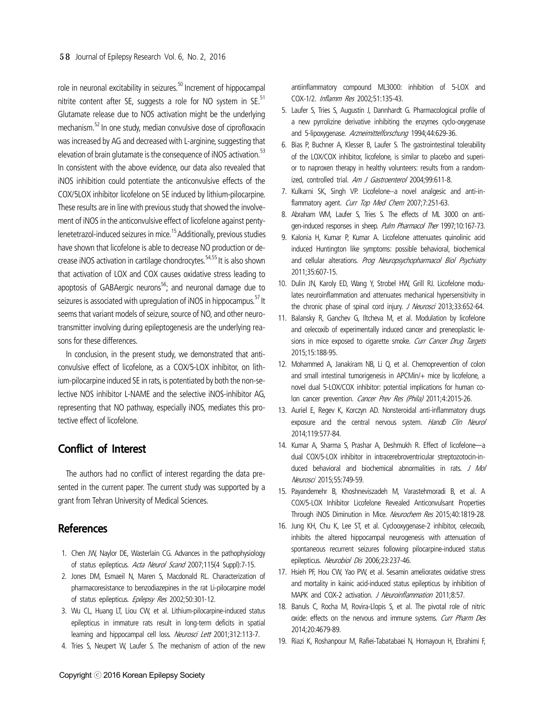role in neuronal excitability in seizures.<sup>50</sup> Increment of hippocampal nitrite content after SE, suggests a role for NO system in SE.<sup>51</sup> Glutamate release due to NOS activation might be the underlying mechanism.<sup>52</sup> In one study, median convulsive dose of ciprofloxacin was increased by AG and decreased with L-arginine, suggesting that elevation of brain glutamate is the consequence of iNOS activation.<sup>53</sup> In consistent with the above evidence, our data also revealed that iNOS inhibition could potentiate the anticonvulsive effects of the COX/5LOX inhibitor licofelone on SE induced by lithium-pilocarpine. These results are in line with previous study that showed the involvement of iNOS in the anticonvulsive effect of licofelone against pentylenetetrazol-induced seizures in mice.15 Additionally, previous studies have shown that licofelone is able to decrease NO production or decrease iNOS activation in cartilage chondrocytes.<sup>54,55</sup> It is also shown that activation of LOX and COX causes oxidative stress leading to apoptosis of GABAergic neurons<sup>56</sup>; and neuronal damage due to seizures is associated with upregulation of iNOS in hippocampus.<sup>57</sup> It seems that variant models of seizure, source of NO, and other neurotransmitter involving during epileptogenesis are the underlying reasons for these differences.

In conclusion, in the present study, we demonstrated that anticonvulsive effect of licofelone, as a COX/5-LOX inhibitor, on lithium-pilocarpine induced SE in rats, is potentiated by both the non-selective NOS inhibitor L-NAME and the selective iNOS-inhibitor AG, representing that NO pathway, especially iNOS, mediates this protective effect of licofelone.

# **Conflict of Interest**

The authors had no conflict of interest regarding the data presented in the current paper. The current study was supported by a grant from Tehran University of Medical Sciences.

# **References**

- 1. Chen JW, Naylor DE, Wasterlain CG. Advances in the pathophysiology of status epilepticus. Acta Neurol Scand 2007;115(4 Suppl):7-15.
- 2. Jones DM, Esmaeil N, Maren S, Macdonald RL. Characterization of pharmacoresistance to benzodiazepines in the rat Li-pilocarpine model of status epilepticus. Epilepsy Res 2002;50:301-12.
- 3. Wu CL, Huang LT, Liou CW, et al. Lithium-pilocarpine-induced status epilepticus in immature rats result in long-term deficits in spatial learning and hippocampal cell loss. Neurosci Lett 2001;312:113-7.
- 4. Tries S, Neupert W, Laufer S. The mechanism of action of the new

antiinflammatory compound ML3000: inhibition of 5-LOX and COX-1/2. Inflamm Res 2002;51:135-43.

- 5. Laufer S, Tries S, Augustin J, Dannhardt G. Pharmacological profile of a new pyrrolizine derivative inhibiting the enzymes cyclo-oxygenase and 5-lipoxygenase. Arzneimittelforschung 1994;44:629-36.
- 6. Bias P, Buchner A, Klesser B, Laufer S. The gastrointestinal tolerability of the LOX/COX inhibitor, licofelone, is similar to placebo and superior to naproxen therapy in healthy volunteers: results from a randomized, controlled trial. Am J Gastroenterol 2004;99:611-8.
- 7. Kulkarni SK, Singh VP. Licofelone--a novel analgesic and anti-inflammatory agent. Curr Top Med Chem 2007;7:251-63.
- 8. Abraham WM, Laufer S, Tries S. The effects of ML 3000 on antigen-induced responses in sheep. Pulm Pharmacol Ther 1997;10:167-73.
- 9. Kalonia H, Kumar P, Kumar A. Licofelone attenuates quinolinic acid induced Huntington like symptoms: possible behavioral, biochemical and cellular alterations. Prog Neuropsychopharmacol Biol Psychiatry 2011;35:607-15.
- 10. Dulin JN, Karoly ED, Wang Y, Strobel HW, Grill RJ. Licofelone modulates neuroinflammation and attenuates mechanical hypersensitivity in the chronic phase of spinal cord injury. J Neurosci 2013;33:652-64.
- 11. Balansky R, Ganchev G, Iltcheva M, et al. Modulation by licofelone and celecoxib of experimentally induced cancer and preneoplastic lesions in mice exposed to cigarette smoke. Curr Cancer Drug Targets 2015;15:188-95.
- 12. Mohammed A, Janakiram NB, Li Q, et al. Chemoprevention of colon and small intestinal tumorigenesis in APCMin/+ mice by licofelone, a novel dual 5-LOX/COX inhibitor: potential implications for human colon cancer prevention. Cancer Prev Res (Phila) 2011;4:2015-26.
- 13. Auriel E, Regev K, Korczyn AD. Nonsteroidal anti-inflammatory drugs exposure and the central nervous system. Handb Clin Neurol 2014;119:577-84.
- 14. Kumar A, Sharma S, Prashar A, Deshmukh R. Effect of licofelone―a dual COX/5-LOX inhibitor in intracerebroventricular streptozotocin-induced behavioral and biochemical abnormalities in rats. J Mol Neurosci 2015;55:749-59.
- 15. Payandemehr B, Khoshneviszadeh M, Varastehmoradi B, et al. A COX/5-LOX Inhibitor Licofelone Revealed Anticonvulsant Properties Through iNOS Diminution in Mice. Neurochem Res 2015;40:1819-28.
- 16. Jung KH, Chu K, Lee ST, et al. Cyclooxygenase-2 inhibitor, celecoxib, inhibits the altered hippocampal neurogenesis with attenuation of spontaneous recurrent seizures following pilocarpine-induced status epilepticus. Neurobiol Dis 2006;23:237-46.
- 17. Hsieh PF, Hou CW, Yao PW, et al. Sesamin ameliorates oxidative stress and mortality in kainic acid-induced status epilepticus by inhibition of MAPK and COX-2 activation. J Neuroinflammation 2011;8:57.
- 18. Banuls C, Rocha M, Rovira-Llopis S, et al. The pivotal role of nitric oxide: effects on the nervous and immune systems. Curr Pharm Des 2014;20:4679-89.
- 19. Riazi K, Roshanpour M, Rafiei-Tabatabaei N, Homayoun H, Ebrahimi F,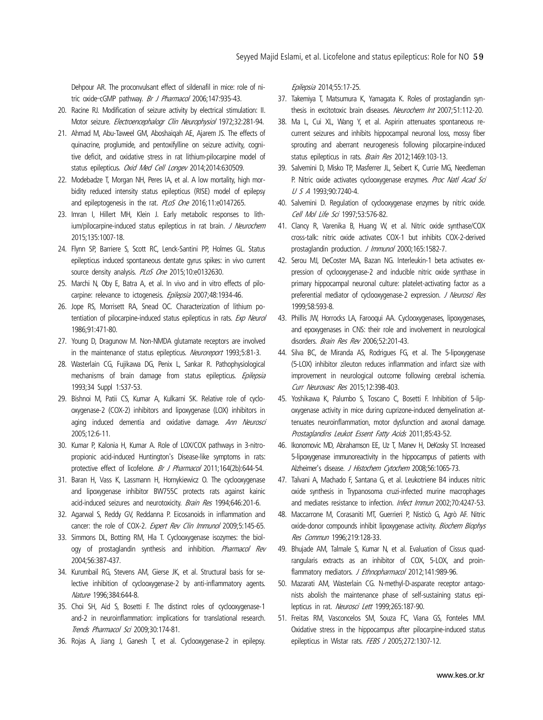Dehpour AR. The proconvulsant effect of sildenafil in mice: role of nitric oxide-cGMP pathway. Br J Pharmacol 2006;147:935-43.

- 20. Racine RJ. Modification of seizure activity by electrical stimulation: II. Motor seizure. Electroencephalogr Clin Neurophysiol 1972;32:281-94.
- 21. Ahmad M, Abu-Taweel GM, Aboshaiqah AE, Ajarem JS. The effects of quinacrine, proglumide, and pentoxifylline on seizure activity, cognitive deficit, and oxidative stress in rat lithium-pilocarpine model of status epilepticus. Oxid Med Cell Longev 2014;2014:630509.
- 22. Modebadze T, Morgan NH, Peres IA, et al. A low mortality, high morbidity reduced intensity status epilepticus (RISE) model of epilepsy and epileptogenesis in the rat. PLoS One 2016;11:e0147265.
- 23. Imran I, Hillert MH, Klein J. Early metabolic responses to lithium/pilocarpine-induced status epilepticus in rat brain. J Neurochem 2015;135:1007-18.
- 24. Flynn SP, Barriere S, Scott RC, Lenck-Santini PP, Holmes GL. Status epilepticus induced spontaneous dentate gyrus spikes: in vivo current source density analysis. PLoS One 2015;10:e0132630.
- 25. Marchi N, Oby E, Batra A, et al. In vivo and in vitro effects of pilocarpine: relevance to ictogenesis. Epilepsia 2007;48:1934-46.
- 26. Jope RS, Morrisett RA, Snead OC. Characterization of lithium potentiation of pilocarpine-induced status epilepticus in rats. Exp Neurol 1986;91:471-80.
- 27. Young D, Dragunow M. Non-NMDA glutamate receptors are involved in the maintenance of status epilepticus. Neuroreport 1993;5:81-3.
- 28. Wasterlain CG, Fujikawa DG, Penix L, Sankar R. Pathophysiological mechanisms of brain damage from status epilepticus. Epilepsia 1993;34 Suppl 1:S37-53.
- 29. Bishnoi M, Patii CS, Kumar A, Kulkarni SK. Relative role of cyclooxygenase-2 (COX-2) inhibitors and lipoxygenase (LOX) inhibitors in aging induced dementia and oxidative damage. Ann Neurosci 2005;12:6-11.
- 30. Kumar P, Kalonia H, Kumar A. Role of LOX/COX pathways in 3-nitropropionic acid-induced Huntington's Disease-like symptoms in rats: protective effect of licofelone. Br J Pharmacol 2011;164(2b):644-54.
- 31. Baran H, Vass K, Lassmann H, Hornykiewicz O. The cyclooxygenase and lipoxygenase inhibitor BW755C protects rats against kainic acid-induced seizures and neurotoxicity. Brain Res 1994;646:201-6.
- 32. Agarwal S, Reddy GV, Reddanna P. Eicosanoids in inflammation and cancer: the role of COX-2. Expert Rev Clin Immunol 2009;5:145-65.
- 33. Simmons DL, Botting RM, Hla T. Cyclooxygenase isozymes: the biology of prostaglandin synthesis and inhibition. Pharmacol Rev 2004;56:387-437.
- 34. Kurumbail RG, Stevens AM, Gierse JK, et al. Structural basis for selective inhibition of cyclooxygenase-2 by anti-inflammatory agents. Nature 1996;384:644-8.
- 35. Choi SH, Aid S, Bosetti F. The distinct roles of cyclooxygenase-1 and-2 in neuroinflammation: implications for translational research. Trends Pharmacol Sci 2009;30:174-81.
- 36. Rojas A, Jiang J, Ganesh T, et al. Cyclooxygenase-2 in epilepsy.

Epilepsia 2014;55:17-25.

- 37. Takemiya T, Matsumura K, Yamagata K. Roles of prostaglandin synthesis in excitotoxic brain diseases. Neurochem Int 2007;51:112-20.
- 38. Ma L, Cui XL, Wang Y, et al. Aspirin attenuates spontaneous recurrent seizures and inhibits hippocampal neuronal loss, mossy fiber sprouting and aberrant neurogenesis following pilocarpine-induced status epilepticus in rats. *Brain Res* 2012:1469:103-13.
- 39. Salvemini D, Misko TP, Masferrer JL, Seibert K, Currie MG, Needleman P. Nitric oxide activates cyclooxygenase enzymes. Proc Natl Acad Sci U S A 1993;90:7240-4.
- 40. Salvemini D. Regulation of cyclooxygenase enzymes by nitric oxide. Cell Mol Life Sci 1997;53:576-82.
- 41. Clancy R, Varenika B, Huang W, et al. Nitric oxide synthase/COX cross-talk: nitric oxide activates COX-1 but inhibits COX-2-derived prostaglandin production. J Immunol 2000;165:1582-7.
- 42. Serou MJ, DeCoster MA, Bazan NG. Interleukin-1 beta activates expression of cyclooxygenase-2 and inducible nitric oxide synthase in primary hippocampal neuronal culture: platelet-activating factor as a preferential mediator of cyclooxygenase-2 expression. J Neurosci Res 1999;58:593-8.
- 43. Phillis JW, Horrocks LA, Farooqui AA. Cyclooxygenases, lipoxygenases, and epoxygenases in CNS: their role and involvement in neurological disorders. Brain Res Rev 2006;52:201-43.
- 44. Silva BC, de Miranda AS, Rodrigues FG, et al. The 5-lipoxygenase (5-LOX) inhibitor zileuton reduces inflammation and infarct size with improvement in neurological outcome following cerebral ischemia. Curr Neurovasc Res 2015;12:398-403.
- 45. Yoshikawa K, Palumbo S, Toscano C, Bosetti F. Inhibition of 5-lipoxygenase activity in mice during cuprizone-induced demyelination attenuates neuroinflammation, motor dysfunction and axonal damage. Prostaglandins Leukot Essent Fatty Acids 2011;85:43-52.
- 46. Ikonomovic MD, Abrahamson EE, Uz T, Manev H, DeKosky ST. Increased 5-lipoxygenase immunoreactivity in the hippocampus of patients with Alzheimer's disease. J Histochem Cytochem 2008;56:1065-73.
- 47. Talvani A, Machado F, Santana G, et al. Leukotriene B4 induces nitric oxide synthesis in Trypanosoma cruzi-infected murine macrophages and mediates resistance to infection. Infect Immun 2002;70:4247-53.
- 48. Maccarrone M, Corasaniti MT, Guerrieri P, Nisticò G, Agrò AF. Nitric oxide-donor compounds inhibit lipoxygenase activity. Biochem Biophys Res Commun 1996;219:128-33.
- 49. Bhujade AM, Talmale S, Kumar N, et al. Evaluation of Cissus quadrangularis extracts as an inhibitor of COX, 5-LOX, and proinflammatory mediators. J Ethnopharmacol 2012;141:989-96.
- 50. Mazarati AM, Wasterlain CG. N-methyl-D-asparate receptor antagonists abolish the maintenance phase of self-sustaining status epilepticus in rat. Neurosci Lett 1999;265:187-90.
- 51. Freitas RM, Vasconcelos SM, Souza FC, Viana GS, Fonteles MM. Oxidative stress in the hippocampus after pilocarpine-induced status epilepticus in Wistar rats. FEBS J 2005;272:1307-12.